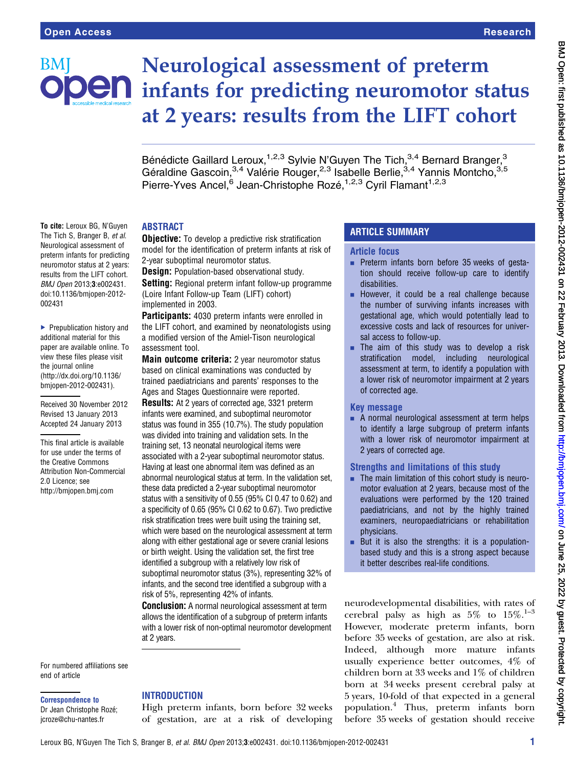

To cite: Leroux BG, N'Guyen The Tich S. Branger B. et al. Neurological assessment of preterm infants for predicting neuromotor status at 2 years: results from the LIFT cohort. BMJ Open 2013;3:e002431. doi:10.1136/bmjopen-2012-

▶ Prepublication history and additional material for this paper are available online. To view these files please visit the journal online [\(http://dx.doi.org/10.1136/](http://dx.doi.org/10.1136/bmjopen-2012-002431) [bmjopen-2012-002431](http://dx.doi.org/10.1136/bmjopen-2012-002431)).

Received 30 November 2012 Revised 13 January 2013 Accepted 24 January 2013 This final article is available for use under the terms of the Creative Commons Attribution Non-Commercial

2.0 Licence; see <http://bmjopen.bmj.com>

002431

# Neurological assessment of preterm **OEN** infants for predicting neuromotor status at 2 years: results from the LIFT cohort

Bénédicte Gaillard Leroux,<sup>1,2,3</sup> Sylvie N'Guyen The Tich,<sup>3,4</sup> Bernard Branger,<sup>3</sup> Géraldine Gascoin,<sup>3,4</sup> Valérie Rouger,<sup>2,3</sup> Isabelle Berlie,<sup>3,4</sup> Yannis Montcho,<sup>3,5</sup> Pierre-Yves Ancel,<sup>6</sup> Jean-Christophe Rozé,<sup>1,2,3</sup> Cyril Flamant<sup>1,2,3</sup>

# ABSTRACT

**Objective:** To develop a predictive risk stratification model for the identification of preterm infants at risk of 2-year suboptimal neuromotor status.

**Design:** Population-based observational study. **Setting:** Regional preterm infant follow-up programme (Loire Infant Follow-up Team (LIFT) cohort) implemented in 2003.

Participants: 4030 preterm infants were enrolled in the LIFT cohort, and examined by neonatologists using a modified version of the Amiel-Tison neurological assessment tool.

Main outcome criteria: 2 year neuromotor status based on clinical examinations was conducted by trained paediatricians and parents' responses to the Ages and Stages Questionnaire were reported.

Results: At 2 years of corrected age, 3321 preterm infants were examined, and suboptimal neuromotor status was found in 355 (10.7%). The study population was divided into training and validation sets. In the training set, 13 neonatal neurological items were associated with a 2-year suboptimal neuromotor status. Having at least one abnormal item was defined as an abnormal neurological status at term. In the validation set, these data predicted a 2-year suboptimal neuromotor status with a sensitivity of 0.55 (95% CI 0.47 to 0.62) and a specificity of 0.65 (95% CI 0.62 to 0.67). Two predictive risk stratification trees were built using the training set, which were based on the neurological assessment at term along with either gestational age or severe cranial lesions or birth weight. Using the validation set, the first tree identified a subgroup with a relatively low risk of suboptimal neuromotor status (3%), representing 32% of infants, and the second tree identified a subgroup with a risk of 5%, representing 42% of infants.

**Conclusion:** A normal neurological assessment at term allows the identification of a subgroup of preterm infants with a lower risk of non-optimal neuromotor development at 2 years.

## For numbered affiliations see end of article

Correspondence to

# Dr Jean Christophe Rozé; jcroze@chu-nantes.fr

# **INTRODUCTION**

High preterm infants, born before 32 weeks of gestation, are at a risk of developing

# ARTICLE SUMMARY

## Article focus

- $\blacksquare$  Preterm infants born before 35 weeks of gestation should receive follow-up care to identify disabilities.
- **EXECUTE:** However, it could be a real challenge because the number of surviving infants increases with gestational age, which would potentially lead to excessive costs and lack of resources for universal access to follow-up.
- $\blacksquare$  The aim of this study was to develop a risk stratification model, including neurological assessment at term, to identify a population with a lower risk of neuromotor impairment at 2 years of corrected age.

# Key message

 $\blacksquare$  A normal neurological assessment at term helps to identify a large subgroup of preterm infants with a lower risk of neuromotor impairment at 2 years of corrected age.

# Strengths and limitations of this study

- $\blacksquare$  The main limitation of this cohort study is neuromotor evaluation at 2 years, because most of the evaluations were performed by the 120 trained paediatricians, and not by the highly trained examiners, neuropaediatricians or rehabilitation physicians.
- $\blacksquare$  But it is also the strengths: it is a populationbased study and this is a strong aspect because it better describes real-life conditions.

neurodevelopmental disabilities, with rates of cerebral palsy as high as  $5\%$  to  $15\%$ .<sup>1-3</sup> However, moderate preterm infants, born before 35 weeks of gestation, are also at risk. Indeed, although more mature infants usually experience better outcomes, 4% of children born at 33 weeks and 1% of children born at 34 weeks present cerebral palsy at 5 years, 10-fold of that expected in a general population.<sup>4</sup> Thus, preterm infants born before 35 weeks of gestation should receive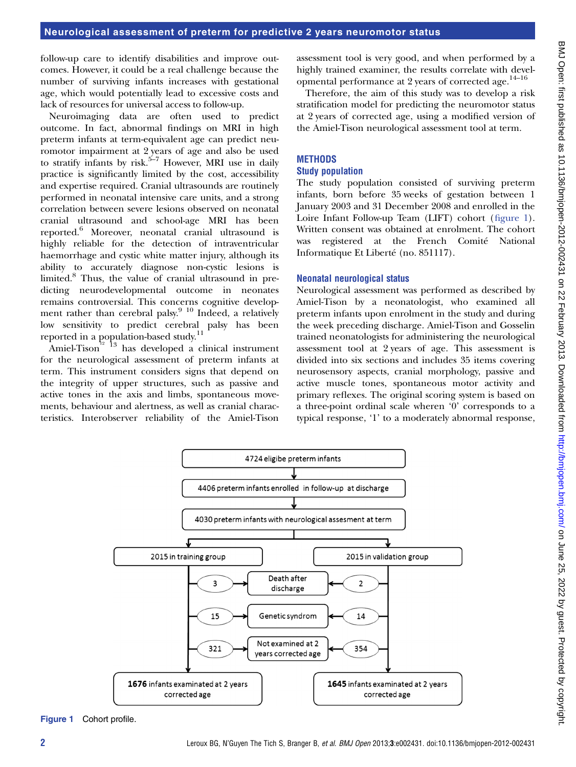follow-up care to identify disabilities and improve outcomes. However, it could be a real challenge because the number of surviving infants increases with gestational age, which would potentially lead to excessive costs and lack of resources for universal access to follow-up.

Neuroimaging data are often used to predict outcome. In fact, abnormal findings on MRI in high preterm infants at term-equivalent age can predict neuromotor impairment at 2 years of age and also be used to stratify infants by risk.<sup>5–7</sup> However, MRI use in daily practice is significantly limited by the cost, accessibility and expertise required. Cranial ultrasounds are routinely performed in neonatal intensive care units, and a strong correlation between severe lesions observed on neonatal cranial ultrasound and school-age MRI has been reported.<sup>6</sup> Moreover, neonatal cranial ultrasound is highly reliable for the detection of intraventricular haemorrhage and cystic white matter injury, although its ability to accurately diagnose non-cystic lesions is limited.<sup>8</sup> Thus, the value of cranial ultrasound in predicting neurodevelopmental outcome in neonates remains controversial. This concerns cognitive development rather than cerebral palsy.<sup>9 10</sup> Indeed, a relatively low sensitivity to predict cerebral palsy has been reported in a population-based study.<sup>11</sup>

Amiel-Tison<sup>12</sup> <sup>13</sup> has developed a clinical instrument for the neurological assessment of preterm infants at term. This instrument considers signs that depend on the integrity of upper structures, such as passive and active tones in the axis and limbs, spontaneous movements, behaviour and alertness, as well as cranial characteristics. Interobserver reliability of the Amiel-Tison assessment tool is very good, and when performed by a highly trained examiner, the results correlate with developmental performance at 2 years of corrected age.<sup>14-16</sup>

Therefore, the aim of this study was to develop a risk stratification model for predicting the neuromotor status at 2 years of corrected age, using a modified version of the Amiel-Tison neurological assessment tool at term.

# **METHODS**

# Study population

The study population consisted of surviving preterm infants, born before 35 weeks of gestation between 1 January 2003 and 31 December 2008 and enrolled in the Loire Infant Follow-up Team (LIFT) cohort (figure 1). Written consent was obtained at enrolment. The cohort was registered at the French Comité National Informatique Et Liberté (no. 851117).

# Neonatal neurological status

Neurological assessment was performed as described by Amiel-Tison by a neonatologist, who examined all preterm infants upon enrolment in the study and during the week preceding discharge. Amiel-Tison and Gosselin trained neonatologists for administering the neurological assessment tool at 2 years of age. This assessment is divided into six sections and includes 35 items covering neurosensory aspects, cranial morphology, passive and active muscle tones, spontaneous motor activity and primary reflexes. The original scoring system is based on a three-point ordinal scale wheren '0' corresponds to a typical response, '1' to a moderately abnormal response,



Figure 1 Cohort profile.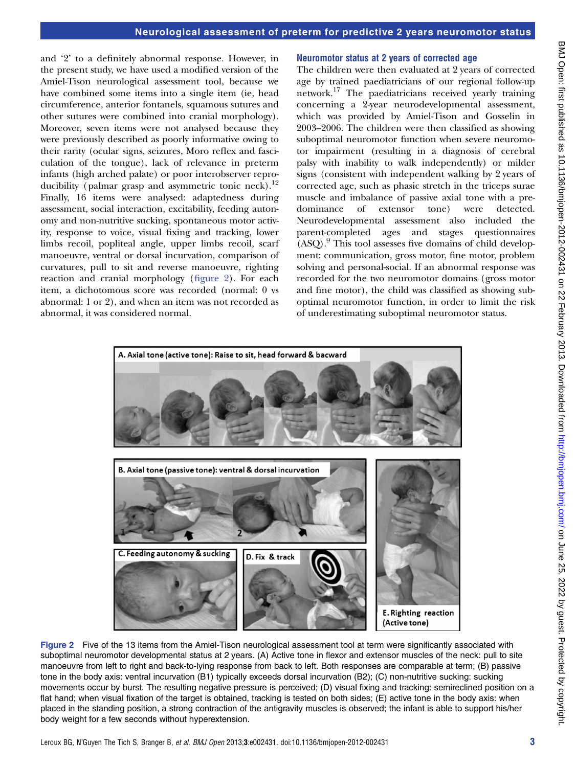and '2' to a definitely abnormal response. However, in the present study, we have used a modified version of the Amiel-Tison neurological assessment tool, because we have combined some items into a single item (ie, head circumference, anterior fontanels, squamous sutures and other sutures were combined into cranial morphology). Moreover, seven items were not analysed because they were previously described as poorly informative owing to their rarity (ocular signs, seizures, Moro reflex and fasciculation of the tongue), lack of relevance in preterm infants (high arched palate) or poor interobserver reproducibility (palmar grasp and asymmetric tonic neck).<sup>12</sup> Finally, 16 items were analysed: adaptedness during assessment, social interaction, excitability, feeding autonomy and non-nutritive sucking, spontaneous motor activity, response to voice, visual fixing and tracking, lower limbs recoil, popliteal angle, upper limbs recoil, scarf manoeuvre, ventral or dorsal incurvation, comparison of curvatures, pull to sit and reverse manoeuvre, righting reaction and cranial morphology (figure 2). For each item, a dichotomous score was recorded (normal: 0 vs abnormal: 1 or 2), and when an item was not recorded as abnormal, it was considered normal.

#### Neuromotor status at 2 years of corrected age

The children were then evaluated at 2 years of corrected age by trained paediatricians of our regional follow-up network.<sup>17</sup> The paediatricians received yearly training concerning a 2-year neurodevelopmental assessment, which was provided by Amiel-Tison and Gosselin in 2003–2006. The children were then classified as showing suboptimal neuromotor function when severe neuromotor impairment (resulting in a diagnosis of cerebral palsy with inability to walk independently) or milder signs (consistent with independent walking by 2 years of corrected age, such as phasic stretch in the triceps surae muscle and imbalance of passive axial tone with a predominance of extensor tone) were detected. Neurodevelopmental assessment also included the parent-completed ages and stages questionnaires  $(ASQ).<sup>9</sup>$  This tool assesses five domains of child development: communication, gross motor, fine motor, problem solving and personal-social. If an abnormal response was recorded for the two neuromotor domains (gross motor and fine motor), the child was classified as showing suboptimal neuromotor function, in order to limit the risk of underestimating suboptimal neuromotor status.



Figure 2 Five of the 13 items from the Amiel-Tison neurological assessment tool at term were significantly associated with suboptimal neuromotor developmental status at 2 years. (A) Active tone in flexor and extensor muscles of the neck: pull to site manoeuvre from left to right and back-to-lying response from back to left. Both responses are comparable at term; (B) passive tone in the body axis: ventral incurvation (B1) typically exceeds dorsal incurvation (B2); (C) non-nutritive sucking: sucking movements occur by burst. The resulting negative pressure is perceived; (D) visual fixing and tracking: semireclined position on a flat hand; when visual fixation of the target is obtained, tracking is tested on both sides; (E) active tone in the body axis: when placed in the standing position, a strong contraction of the antigravity muscles is observed; the infant is able to support his/her body weight for a few seconds without hyperextension.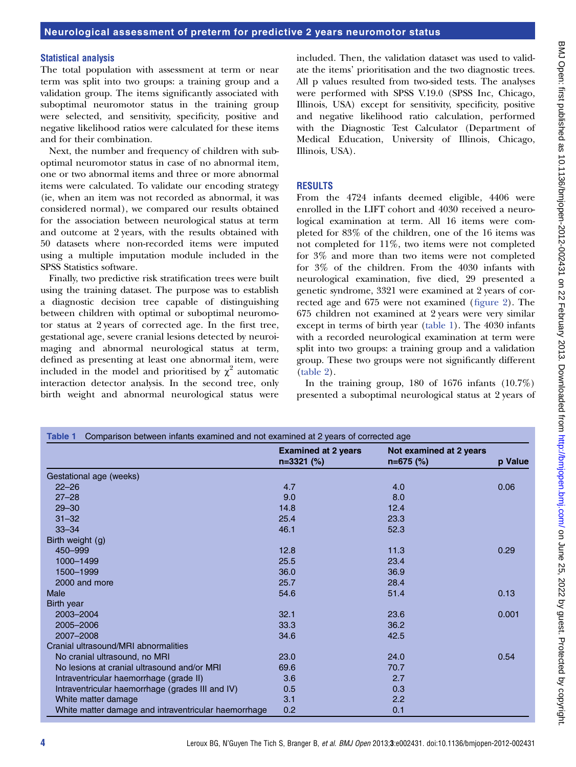#### Statistical analysis

The total population with assessment at term or near term was split into two groups: a training group and a validation group. The items significantly associated with suboptimal neuromotor status in the training group were selected, and sensitivity, specificity, positive and negative likelihood ratios were calculated for these items and for their combination.

Next, the number and frequency of children with suboptimal neuromotor status in case of no abnormal item, one or two abnormal items and three or more abnormal items were calculated. To validate our encoding strategy (ie, when an item was not recorded as abnormal, it was considered normal), we compared our results obtained for the association between neurological status at term and outcome at 2 years, with the results obtained with 50 datasets where non-recorded items were imputed using a multiple imputation module included in the SPSS Statistics software.

Finally, two predictive risk stratification trees were built using the training dataset. The purpose was to establish a diagnostic decision tree capable of distinguishing between children with optimal or suboptimal neuromotor status at 2 years of corrected age. In the first tree, gestational age, severe cranial lesions detected by neuroimaging and abnormal neurological status at term, defined as presenting at least one abnormal item, were included in the model and prioritised by  $\chi^2$  automatic interaction detector analysis. In the second tree, only birth weight and abnormal neurological status were

included. Then, the validation dataset was used to validate the items' prioritisation and the two diagnostic trees. All p values resulted from two-sided tests. The analyses were performed with SPSS V.19.0 (SPSS Inc, Chicago, Illinois, USA) except for sensitivity, specificity, positive and negative likelihood ratio calculation, performed with the Diagnostic Test Calculator (Department of Medical Education, University of Illinois, Chicago, Illinois, USA).

### RESULTS

From the 4724 infants deemed eligible, 4406 were enrolled in the LIFT cohort and 4030 received a neurological examination at term. All 16 items were completed for 83% of the children, one of the 16 items was not completed for 11%, two items were not completed for 3% and more than two items were not completed for 3% of the children. From the 4030 infants with neurological examination, five died, 29 presented a genetic syndrome, 3321 were examined at 2 years of corrected age and 675 were not examined (figure 2). The 675 children not examined at 2 years were very similar except in terms of birth year (table 1). The 4030 infants with a recorded neurological examination at term were split into two groups: a training group and a validation group. These two groups were not significantly different (table 2).

In the training group,  $180$  of  $1676$  infants  $(10.7\%)$ presented a suboptimal neurological status at 2 years of

| Comparison between infants examined and not examined at 2 years of corrected age<br>Table 1 |                                            |                                        |         |  |
|---------------------------------------------------------------------------------------------|--------------------------------------------|----------------------------------------|---------|--|
|                                                                                             | <b>Examined at 2 years</b><br>$n=3321$ (%) | Not examined at 2 years<br>$n=675$ (%) | p Value |  |
| Gestational age (weeks)                                                                     |                                            |                                        |         |  |
| $22 - 26$                                                                                   | 4.7                                        | 4.0                                    | 0.06    |  |
| $27 - 28$                                                                                   | 9.0                                        | 8.0                                    |         |  |
| $29 - 30$                                                                                   | 14.8                                       | 12.4                                   |         |  |
| $31 - 32$                                                                                   | 25.4                                       | 23.3                                   |         |  |
| $33 - 34$                                                                                   | 46.1                                       | 52.3                                   |         |  |
| Birth weight (g)                                                                            |                                            |                                        |         |  |
| 450-999                                                                                     | 12.8                                       | 11.3                                   | 0.29    |  |
| 1000-1499                                                                                   | 25.5                                       | 23.4                                   |         |  |
| 1500-1999                                                                                   | 36.0                                       | 36.9                                   |         |  |
| 2000 and more                                                                               | 25.7                                       | 28.4                                   |         |  |
| Male                                                                                        | 54.6                                       | 51.4                                   | 0.13    |  |
| Birth year                                                                                  |                                            |                                        |         |  |
| 2003-2004                                                                                   | 32.1                                       | 23.6                                   | 0.001   |  |
| 2005-2006                                                                                   | 33.3                                       | 36.2                                   |         |  |
| 2007-2008                                                                                   | 34.6                                       | 42.5                                   |         |  |
| Cranial ultrasound/MRI abnormalities                                                        |                                            |                                        |         |  |
| No cranial ultrasound, no MRI                                                               | 23.0                                       | 24.0                                   | 0.54    |  |
| No lesions at cranial ultrasound and/or MRI                                                 | 69.6                                       | 70.7                                   |         |  |
| Intraventricular haemorrhage (grade II)                                                     | 3.6                                        | 2.7                                    |         |  |
| Intraventricular haemorrhage (grades III and IV)                                            | 0.5                                        | 0.3                                    |         |  |
| White matter damage                                                                         | 3.1                                        | 2.2                                    |         |  |
| White matter damage and intraventricular haemorrhage                                        | 0.2                                        | 0.1                                    |         |  |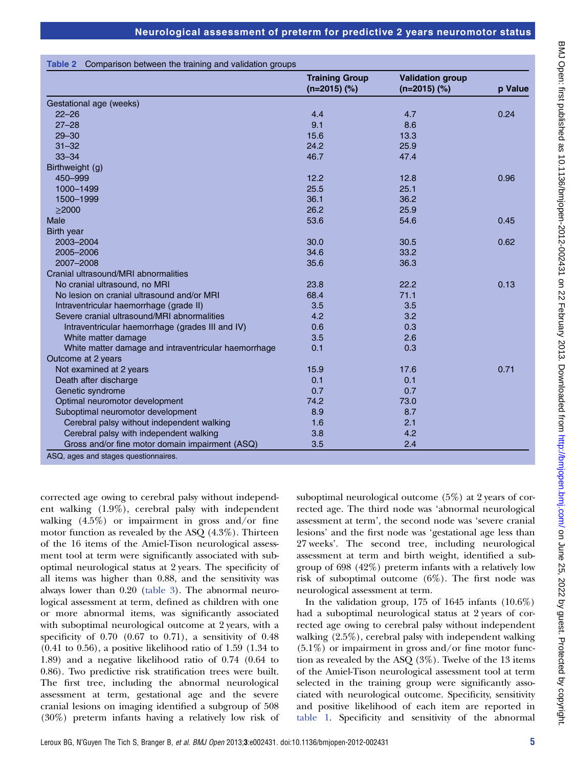|                                                      | <b>Training Group</b><br>$(n=2015)$ (%) | <b>Validation group</b><br>$(n=2015)$ (%) | p Value |
|------------------------------------------------------|-----------------------------------------|-------------------------------------------|---------|
| Gestational age (weeks)                              |                                         |                                           |         |
| $22 - 26$                                            | 4.4                                     | 4.7                                       | 0.24    |
| $27 - 28$                                            | 9.1                                     | 8.6                                       |         |
| $29 - 30$                                            | 15.6                                    | 13.3                                      |         |
| $31 - 32$                                            | 24.2                                    | 25.9                                      |         |
| $33 - 34$                                            | 46.7                                    | 47.4                                      |         |
| Birthweight (g)                                      |                                         |                                           |         |
| 450-999                                              | 12.2                                    | 12.8                                      | 0.96    |
| 1000-1499                                            | 25.5                                    | 25.1                                      |         |
| 1500-1999                                            | 36.1                                    | 36.2                                      |         |
| $\geq$ 2000                                          | 26.2                                    | 25.9                                      |         |
| Male                                                 | 53.6                                    | 54.6                                      | 0.45    |
| Birth year                                           |                                         |                                           |         |
| 2003-2004                                            | 30.0                                    | 30.5                                      | 0.62    |
| 2005-2006                                            | 34.6                                    | 33.2                                      |         |
| 2007-2008                                            | 35.6                                    | 36.3                                      |         |
| Cranial ultrasound/MRI abnormalities                 |                                         |                                           |         |
| No cranial ultrasound, no MRI                        | 23.8                                    | 22.2                                      | 0.13    |
| No lesion on cranial ultrasound and/or MRI           | 68.4                                    | 71.1                                      |         |
| Intraventricular haemorrhage (grade II)              | 3.5                                     | 3.5                                       |         |
| Severe cranial ultrasound/MRI abnormalities          | 4.2                                     | 3.2                                       |         |
| Intraventricular haemorrhage (grades III and IV)     | 0.6                                     | 0.3                                       |         |
| White matter damage                                  | 3.5                                     | 2.6                                       |         |
| White matter damage and intraventricular haemorrhage | 0.1                                     | 0.3                                       |         |
| Outcome at 2 years                                   |                                         |                                           |         |
| Not examined at 2 years                              | 15.9                                    | 17.6                                      | 0.71    |
| Death after discharge                                | 0.1                                     | 0.1                                       |         |
| Genetic syndrome                                     | 0.7                                     | 0.7                                       |         |
| Optimal neuromotor development                       | 74.2                                    | 73.0                                      |         |
| Suboptimal neuromotor development                    | 8.9                                     | 8.7                                       |         |
| Cerebral palsy without independent walking           | 1.6                                     | 2.1                                       |         |
| Cerebral palsy with independent walking              | 3.8                                     | 4.2                                       |         |
| Gross and/or fine motor domain impairment (ASQ)      | 3.5                                     | 2.4                                       |         |

corrected age owing to cerebral palsy without independent walking (1.9%), cerebral palsy with independent walking (4.5%) or impairment in gross and/or fine motor function as revealed by the ASQ (4.3%). Thirteen of the 16 items of the Amiel-Tison neurological assessment tool at term were significantly associated with suboptimal neurological status at 2 years. The specificity of all items was higher than 0.88, and the sensitivity was always lower than 0.20 (table 3). The abnormal neurological assessment at term, defined as children with one or more abnormal items, was significantly associated with suboptimal neurological outcome at 2 years, with a specificity of  $0.70$   $(0.67$  to  $0.71)$ , a sensitivity of  $0.48$  $(0.41 \text{ to } 0.56)$ , a positive likelihood ratio of 1.59  $(1.34 \text{ to } 0.56)$ 1.89) and a negative likelihood ratio of 0.74 (0.64 to 0.86). Two predictive risk stratification trees were built. The first tree, including the abnormal neurological assessment at term, gestational age and the severe cranial lesions on imaging identified a subgroup of 508 (30%) preterm infants having a relatively low risk of suboptimal neurological outcome (5%) at 2 years of corrected age. The third node was 'abnormal neurological assessment at term', the second node was 'severe cranial lesions' and the first node was 'gestational age less than 27 weeks'. The second tree, including neurological assessment at term and birth weight, identified a subgroup of 698 (42%) preterm infants with a relatively low risk of suboptimal outcome (6%). The first node was neurological assessment at term.

In the validation group,  $175$  of  $1645$  infants  $(10.6\%)$ had a suboptimal neurological status at 2 years of corrected age owing to cerebral palsy without independent walking (2.5%), cerebral palsy with independent walking  $(5.1\%)$  or impairment in gross and/or fine motor function as revealed by the ASQ (3%). Twelve of the 13 items of the Amiel-Tison neurological assessment tool at term selected in the training group were significantly associated with neurological outcome. Specificity, sensitivity and positive likelihood of each item are reported in table 1. Specificity and sensitivity of the abnormal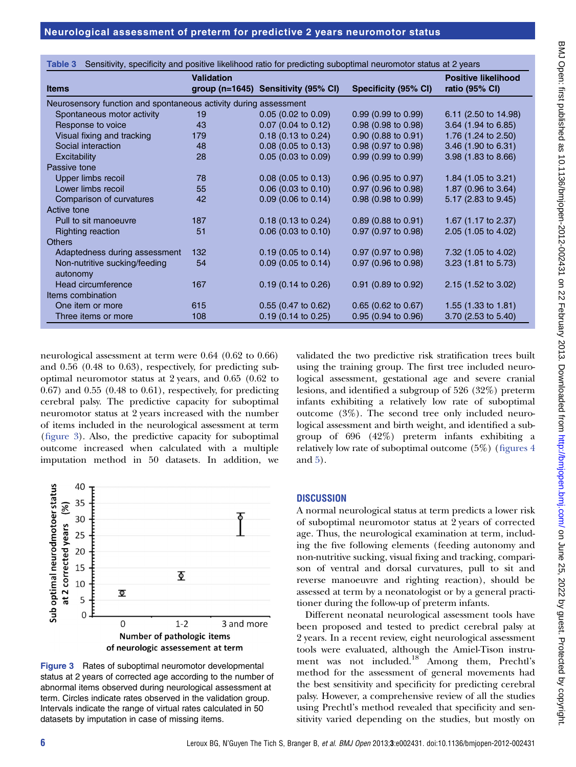| Sensitivity, specificity and positive likelihood ratio for predicting suboptimal neuromotor status at 2 years<br>Table 3 |                   |                                     |                          |                                              |
|--------------------------------------------------------------------------------------------------------------------------|-------------------|-------------------------------------|--------------------------|----------------------------------------------|
| <b>Items</b>                                                                                                             | <b>Validation</b> | group (n=1645) Sensitivity (95% CI) | Specificity (95% CI)     | <b>Positive likelihood</b><br>ratio (95% CI) |
| Neurosensory function and spontaneous activity during assessment                                                         |                   |                                     |                          |                                              |
| Spontaneous motor activity                                                                                               | 19                | $0.05$ (0.02 to 0.09)               | $0.99(0.99)$ to $0.99$ ) | 6.11 (2.50 to 14.98)                         |
| Response to voice                                                                                                        | 43                | $0.07$ (0.04 to 0.12)               | 0.98 (0.98 to 0.98)      | $3.64$ (1.94 to 6.85)                        |
| Visual fixing and tracking                                                                                               | 179               | $0.18$ (0.13 to 0.24)               | 0.90 (0.88 to 0.91)      | 1.76 (1.24 to 2.50)                          |
| Social interaction                                                                                                       | 48                | $0.08$ (0.05 to 0.13)               | 0.98 (0.97 to 0.98)      | 3.46 (1.90 to 6.31)                          |
| Excitability                                                                                                             | 28                | $0.05$ (0.03 to 0.09)               | 0.99(0.99 to 0.99)       | 3.98 (1.83 to 8.66)                          |
| Passive tone                                                                                                             |                   |                                     |                          |                                              |
| Upper limbs recoil                                                                                                       | 78                | $0.08$ (0.05 to 0.13)               | $0.96$ (0.95 to 0.97)    | 1.84 $(1.05 \text{ to } 3.21)$               |
| Lower limbs recoil                                                                                                       | 55                | $0.06$ (0.03 to 0.10)               | $0.97$ (0.96 to 0.98)    | 1.87 (0.96 to 3.64)                          |
| Comparison of curvatures                                                                                                 | 42                | $0.09$ (0.06 to 0.14)               | $0.98$ (0.98 to 0.99)    | 5.17 (2.83 to 9.45)                          |
| Active tone                                                                                                              |                   |                                     |                          |                                              |
| Pull to sit manoeuvre                                                                                                    | 187               | $0.18$ (0.13 to 0.24)               | $0.89$ (0.88 to 0.91)    | 1.67 (1.17 to 2.37)                          |
| <b>Righting reaction</b>                                                                                                 | 51                | $0.06$ (0.03 to 0.10)               | $0.97$ (0.97 to 0.98)    | 2.05 (1.05 to 4.02)                          |
| <b>Others</b>                                                                                                            |                   |                                     |                          |                                              |
| Adaptedness during assessment                                                                                            | 132               | $0.19$ (0.05 to 0.14)               | $0.97$ (0.97 to 0.98)    | 7.32 (1.05 to 4.02)                          |
| Non-nutritive sucking/feeding<br>autonomy                                                                                | 54                | $0.09$ (0.05 to 0.14)               | $0.97$ (0.96 to 0.98)    | $3.23$ (1.81 to 5.73)                        |
| Head circumference                                                                                                       | 167               | $0.19$ (0.14 to 0.26)               | $0.91$ (0.89 to 0.92)    | $2.15$ (1.52 to 3.02)                        |
| Items combination                                                                                                        |                   |                                     |                          |                                              |
| One item or more                                                                                                         | 615               | 0.55 (0.47 to 0.62)                 | 0.65 (0.62 to 0.67)      | 1.55 $(1.33 \text{ to } 1.81)$               |
| Three items or more                                                                                                      | 108               | $0.19$ (0.14 to 0.25)               | $0.95$ (0.94 to 0.96)    | 3.70 (2.53 to 5.40)                          |

neurological assessment at term were 0.64 (0.62 to 0.66) and 0.56 (0.48 to 0.63), respectively, for predicting suboptimal neuromotor status at 2 years, and 0.65 (0.62 to  $(0.67)$  and  $(0.55)$   $(0.48$  to  $0.61)$ , respectively, for predicting cerebral palsy. The predictive capacity for suboptimal neuromotor status at 2 years increased with the number of items included in the neurological assessment at term (figure 3). Also, the predictive capacity for suboptimal outcome increased when calculated with a multiple imputation method in 50 datasets. In addition, we



Figure 3 Rates of suboptimal neuromotor developmental status at 2 years of corrected age according to the number of abnormal items observed during neurological assessment at term. Circles indicate rates observed in the validation group. Intervals indicate the range of virtual rates calculated in 50 datasets by imputation in case of missing items.

validated the two predictive risk stratification trees built using the training group. The first tree included neurological assessment, gestational age and severe cranial lesions, and identified a subgroup of 526 (32%) preterm infants exhibiting a relatively low rate of suboptimal outcome (3%). The second tree only included neurological assessment and birth weight, and identified a subgroup of 696 (42%) preterm infants exhibiting a relatively low rate of suboptimal outcome (5%) (figures 4 and 5).

## **DISCUSSION**

A normal neurological status at term predicts a lower risk of suboptimal neuromotor status at 2 years of corrected age. Thus, the neurological examination at term, including the five following elements (feeding autonomy and non-nutritive sucking, visual fixing and tracking, comparison of ventral and dorsal curvatures, pull to sit and reverse manoeuvre and righting reaction), should be assessed at term by a neonatologist or by a general practitioner during the follow-up of preterm infants.

Different neonatal neurological assessment tools have been proposed and tested to predict cerebral palsy at 2 years. In a recent review, eight neurological assessment tools were evaluated, although the Amiel-Tison instrument was not included.<sup>18</sup> Among them, Prechtl's method for the assessment of general movements had the best sensitivity and specificity for predicting cerebral palsy. However, a comprehensive review of all the studies using Prechtl's method revealed that specificity and sensitivity varied depending on the studies, but mostly on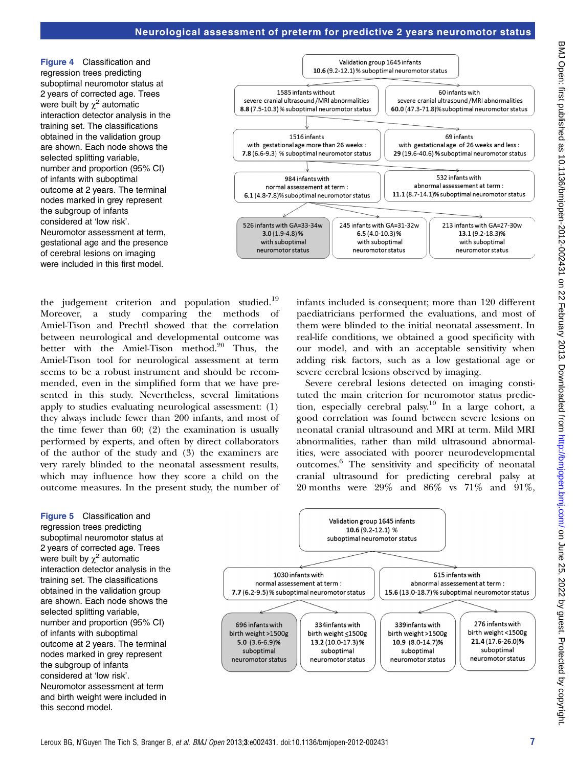Figure 4 Classification and regression trees predicting suboptimal neuromotor status at 2 years of corrected age. Trees were built by  $\chi^2$  automatic interaction detector analysis in the training set. The classifications obtained in the validation group are shown. Each node shows the selected splitting variable, number and proportion (95% CI) of infants with suboptimal outcome at 2 years. The terminal nodes marked in grey represent the subgroup of infants considered at 'low risk'. Neuromotor assessment at term, gestational age and the presence of cerebral lesions on imaging were included in this first model.



the judgement criterion and population studied.<sup>19</sup> Moreover, a study comparing the methods Amiel-Tison and Prechtl showed that the correlation between neurological and developmental outcome was better with the Amiel-Tison method.<sup>20</sup> Thus, the Amiel-Tison tool for neurological assessment at term seems to be a robust instrument and should be recommended, even in the simplified form that we have presented in this study. Nevertheless, several limitations apply to studies evaluating neurological assessment: (1) they always include fewer than 200 infants, and most of the time fewer than 60; (2) the examination is usually performed by experts, and often by direct collaborators of the author of the study and (3) the examiners are very rarely blinded to the neonatal assessment results, which may influence how they score a child on the outcome measures. In the present study, the number of infants included is consequent; more than 120 different paediatricians performed the evaluations, and most of them were blinded to the initial neonatal assessment. In real-life conditions, we obtained a good specificity with our model, and with an acceptable sensitivity when adding risk factors, such as a low gestational age or severe cerebral lesions observed by imaging.

Severe cerebral lesions detected on imaging constituted the main criterion for neuromotor status prediction, especially cerebral palsy.<sup>10</sup> In a large cohort, a good correlation was found between severe lesions on neonatal cranial ultrasound and MRI at term. Mild MRI abnormalities, rather than mild ultrasound abnormalities, were associated with poorer neurodevelopmental outcomes.6 The sensitivity and specificity of neonatal cranial ultrasound for predicting cerebral palsy at 20 months were 29% and 86% vs 71% and 91%,

Figure 5 Classification and regression trees predicting suboptimal neuromotor status at 2 years of corrected age. Trees were built by  $\chi^2$  automatic interaction detector analysis in the training set. The classifications obtained in the validation group are shown. Each node shows the selected splitting variable, number and proportion (95% CI) of infants with suboptimal outcome at 2 years. The terminal nodes marked in grey represent the subgroup of infants considered at 'low risk'. Neuromotor assessment at term and birth weight were included in this second model.

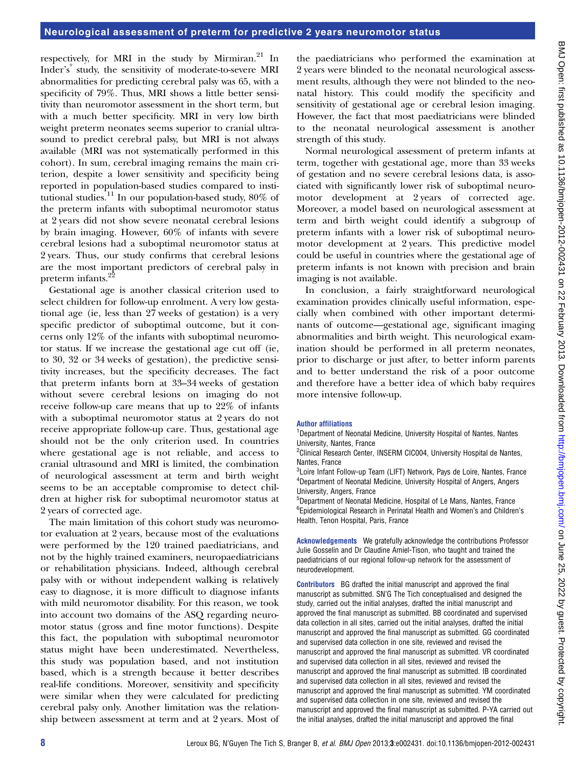respectively, for MRI in the study by Mirmiran.<sup>21</sup> In Inder's<sup>9</sup> study, the sensitivity of moderate-to-severe MRI abnormalities for predicting cerebral palsy was 65, with a specificity of 79%. Thus, MRI shows a little better sensitivity than neuromotor assessment in the short term, but with a much better specificity. MRI in very low birth weight preterm neonates seems superior to cranial ultrasound to predict cerebral palsy, but MRI is not always available (MRI was not systematically performed in this cohort). In sum, cerebral imaging remains the main criterion, despite a lower sensitivity and specificity being reported in population-based studies compared to institutional studies.<sup>11</sup> In our population-based study,  $80\%$  of the preterm infants with suboptimal neuromotor status at 2 years did not show severe neonatal cerebral lesions by brain imaging. However, 60% of infants with severe cerebral lesions had a suboptimal neuromotor status at 2 years. Thus, our study confirms that cerebral lesions are the most important predictors of cerebral palsy in preterm infants.<sup>22</sup>

Gestational age is another classical criterion used to select children for follow-up enrolment. A very low gestational age (ie, less than 27 weeks of gestation) is a very specific predictor of suboptimal outcome, but it concerns only 12% of the infants with suboptimal neuromotor status. If we increase the gestational age cut off (ie, to 30, 32 or 34 weeks of gestation), the predictive sensitivity increases, but the specificity decreases. The fact that preterm infants born at 33–34 weeks of gestation without severe cerebral lesions on imaging do not receive follow-up care means that up to 22% of infants with a suboptimal neuromotor status at 2 years do not receive appropriate follow-up care. Thus, gestational age should not be the only criterion used. In countries where gestational age is not reliable, and access to cranial ultrasound and MRI is limited, the combination of neurological assessment at term and birth weight seems to be an acceptable compromise to detect children at higher risk for suboptimal neuromotor status at 2 years of corrected age.

The main limitation of this cohort study was neuromotor evaluation at 2 years, because most of the evaluations were performed by the 120 trained paediatricians, and not by the highly trained examiners, neuropaediatricians or rehabilitation physicians. Indeed, although cerebral palsy with or without independent walking is relatively easy to diagnose, it is more difficult to diagnose infants with mild neuromotor disability. For this reason, we took into account two domains of the ASQ regarding neuromotor status (gross and fine motor functions). Despite this fact, the population with suboptimal neuromotor status might have been underestimated. Nevertheless, this study was population based, and not institution based, which is a strength because it better describes real-life conditions. Moreover, sensitivity and specificity were similar when they were calculated for predicting cerebral palsy only. Another limitation was the relationship between assessment at term and at 2 years. Most of

the paediatricians who performed the examination at 2 years were blinded to the neonatal neurological assessment results, although they were not blinded to the neonatal history. This could modify the specificity and sensitivity of gestational age or cerebral lesion imaging. However, the fact that most paediatricians were blinded to the neonatal neurological assessment is another strength of this study.

Normal neurological assessment of preterm infants at term, together with gestational age, more than 33 weeks of gestation and no severe cerebral lesions data, is associated with significantly lower risk of suboptimal neuromotor development at 2 years of corrected age. Moreover, a model based on neurological assessment at term and birth weight could identify a subgroup of preterm infants with a lower risk of suboptimal neuromotor development at 2 years. This predictive model could be useful in countries where the gestational age of preterm infants is not known with precision and brain imaging is not available.

In conclusion, a fairly straightforward neurological examination provides clinically useful information, especially when combined with other important determinants of outcome—gestational age, significant imaging abnormalities and birth weight. This neurological examination should be performed in all preterm neonates, prior to discharge or just after, to better inform parents and to better understand the risk of a poor outcome and therefore have a better idea of which baby requires more intensive follow-up.

## Author affiliations

<sup>1</sup>Department of Neonatal Medicine, University Hospital of Nantes, Nantes University, Nantes, France

<sup>2</sup>Clinical Research Center, INSERM CIC004, University Hospital de Nantes, Nantes, France

<sup>3</sup>Loire Infant Follow-up Team (LIFT) Network, Pays de Loire, Nantes, France 4 Department of Neonatal Medicine, University Hospital of Angers, Angers University, Angers, France

5 Department of Neonatal Medicine, Hospital of Le Mans, Nantes, France 6 Epidemiological Research in Perinatal Health and Women's and Children's Health, Tenon Hospital, Paris, France

Acknowledgements We gratefully acknowledge the contributions Professor Julie Gosselin and Dr Claudine Amiel-Tison, who taught and trained the paediatricians of our regional follow-up network for the assessment of neurodevelopment.

**Contributors** BG drafted the initial manuscript and approved the final manuscript as submitted. SN'G The Tich conceptualised and designed the study, carried out the initial analyses, drafted the initial manuscript and approved the final manuscript as submitted. BB coordinated and supervised data collection in all sites, carried out the initial analyses, drafted the initial manuscript and approved the final manuscript as submitted. GG coordinated and supervised data collection in one site, reviewed and revised the manuscript and approved the final manuscript as submitted. VR coordinated and supervised data collection in all sites, reviewed and revised the manuscript and approved the final manuscript as submitted. IB coordinated and supervised data collection in all sites, reviewed and revised the manuscript and approved the final manuscript as submitted. YM coordinated and supervised data collection in one site, reviewed and revised the manuscript and approved the final manuscript as submitted. P-YA carried out the initial analyses, drafted the initial manuscript and approved the final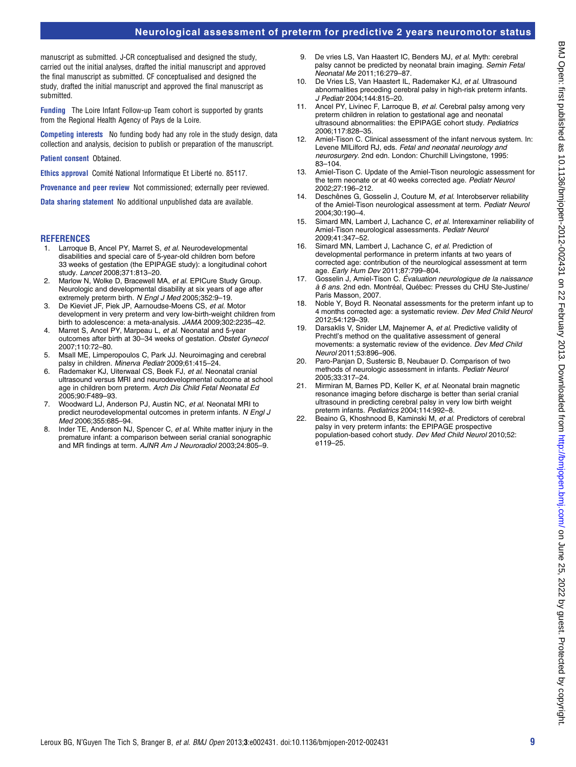# Neurological assessment of preterm for predictive 2 years neuromotor status

manuscript as submitted. J-CR conceptualised and designed the study, carried out the initial analyses, drafted the initial manuscript and approved the final manuscript as submitted. CF conceptualised and designed the study, drafted the initial manuscript and approved the final manuscript as submitted.

Funding The Loire Infant Follow-up Team cohort is supported by grants from the Regional Health Agency of Pays de la Loire.

Competing interests No funding body had any role in the study design, data collection and analysis, decision to publish or preparation of the manuscript.

#### Patient consent Obtained.

Ethics approval Comité National Informatique Et Liberté no. 85117.

Provenance and peer review Not commissioned; externally peer reviewed.

Data sharing statement No additional unpublished data are available.

#### **REFERENCES**

- 1. Larroque B, Ancel PY, Marret S, et al. Neurodevelopmental disabilities and special care of 5-year-old children born before 33 weeks of gestation (the EPIPAGE study): a longitudinal cohort study. Lancet 2008;371:813–20.
- 2. Marlow N, Wolke D, Bracewell MA, et al. EPICure Study Group. Neurologic and developmental disability at six years of age after extremely preterm birth. N Engl J Med 2005;352:9–19.
- 3. De Kieviet JF, Piek JP, Aarnoudse-Moens CS, et al. Motor development in very preterm and very low-birth-weight children from birth to adolescence: a meta-analysis. JAMA 2009;302:2235–42.
- 4. Marret S, Ancel PY, Marpeau L, et al. Neonatal and 5-year outcomes after birth at 30–34 weeks of gestation. Obstet Gynecol 2007;110:72–80.
- 5. Msall ME, Limperopoulos C, Park JJ. Neuroimaging and cerebral palsy in children. Minerva Pediatr 2009;61:415–24.
- 6. Rademaker KJ, Uiterwaal CS, Beek FJ, et al. Neonatal cranial ultrasound versus MRI and neurodevelopmental outcome at school age in children born preterm. Arch Dis Child Fetal Neonatal Ed 2005;90:F489–93.
- 7. Woodward LJ, Anderson PJ, Austin NC, et al. Neonatal MRI to predict neurodevelopmental outcomes in preterm infants. N Engl J Med 2006;355:685–94.
- 8. Inder TE, Anderson NJ, Spencer C, et al. White matter injury in the premature infant: a comparison between serial cranial sonographic and MR findings at term. AJNR Am J Neuroradiol 2003;24:805–9.
- 9. De vries LS, Van Haastert IC, Benders MJ, et al. Myth: cerebral palsy cannot be predicted by neonatal brain imaging. Semin Fetal Neonatal Me 2011;16:279–87.
- 10. De Vries LS, Van Haastert IL, Rademaker KJ, et al. Ultrasound abnormalities preceding cerebral palsy in high-risk preterm infants. J Pediatr 2004;144:815–20.
- 11. Ancel PY, Livinec F, Larroque B, et al. Cerebral palsy among very preterm children in relation to gestational age and neonatal ultrasound abnormalities: the EPIPAGE cohort study. Pediatrics 2006;117:828–35.
- 12. Amiel-Tison C. Clinical assessment of the infant nervous system. In: Levene MILilford RJ, eds. Fetal and neonatal neurology and neurosurgery. 2nd edn. London: Churchill Livingstone, 1995: 83–104.
- 13. Amiel-Tison C. Update of the Amiel-Tison neurologic assessment for the term neonate or at 40 weeks corrected age. Pediatr Neurol 2002;27:196–212.
- 14. Deschênes G, Gosselin J, Couture M, et al. Interobserver reliability of the Amiel-Tison neurological assessment at term. Pediatr Neurol 2004;30:190–4.
- 15. Simard MN, Lambert J, Lachance C, et al. Interexaminer reliability of Amiel-Tison neurological assessments. Pediatr Neurol 2009;41:347–52.
- 16. Simard MN, Lambert J, Lachance C, et al. Prediction of developmental performance in preterm infants at two years of corrected age: contribution of the neurological assessment at term age. Early Hum Dev 2011;87:799–804.
- 17. Gosselin J, Amiel-Tison C. Évaluation neurologique de la naissance à 6 ans. 2nd edn. Montréal, Québec: Presses du CHU Ste-Justine/ Paris Masson, 2007.
- Noble Y, Boyd R. Neonatal assessments for the preterm infant up to 4 months corrected age: a systematic review. Dev Med Child Neurol 2012;54:129–39.
- 19. Darsaklis V, Snider LM, Majnemer A, et al. Predictive validity of Prechtl's method on the qualitative assessment of general movements: a systematic review of the evidence. Dev Med Child Neurol 2011;53:896–906.
- 20. Paro-Panjan D, Sustersic B, Neubauer D. Comparison of two methods of neurologic assessment in infants. Pediatr Neurol 2005;33:317–24.
- 21. Mirmiran M, Barnes PD, Keller K, et al. Neonatal brain magnetic resonance imaging before discharge is better than serial cranial ultrasound in predicting cerebral palsy in very low birth weight preterm infants. Pediatrics 2004;114:992–8.
- 22. Beaino G, Khoshnood B, Kaminski M, et al. Predictors of cerebral palsy in very preterm infants: the EPIPAGE prospective population-based cohort study. Dev Med Child Neurol 2010;52: e119–25.